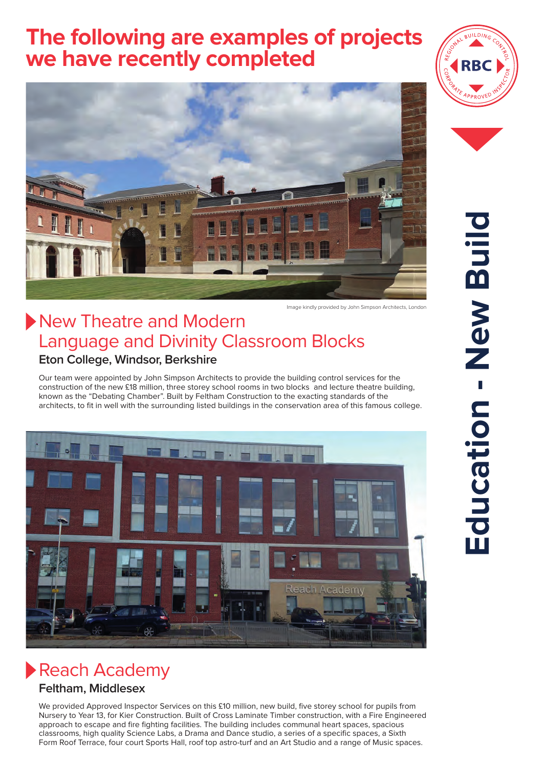# **The following are examples of projects we have recently completed**



### New Theatre and Modern Language and Divinity Classroom Blocks **Eton College, Windsor, Berkshire**

Our team were appointed by John Simpson Architects to provide the building control services for the construction of the new £18 million, three storey school rooms in two blocks and lecture theatre building, known as the "Debating Chamber". Built by Feltham Construction to the exacting standards of the architects, to fit in well with the surrounding listed buildings in the conservation area of this famous college.



# Reach Academy

### **Feltham, Middlesex**

We provided Approved Inspector Services on this £10 million, new build, five storey school for pupils from Nursery to Year 13, for Kier Construction. Built of Cross Laminate Timber construction, with a Fire Engineered approach to escape and fire fighting facilities. The building includes communal heart spaces, spacious classrooms, high quality Science Labs, a Drama and Dance studio, a series of a specific spaces, a Sixth Form Roof Terrace, four court Sports Hall, roof top astro-turf and an Art Studio and a range of Music spaces.